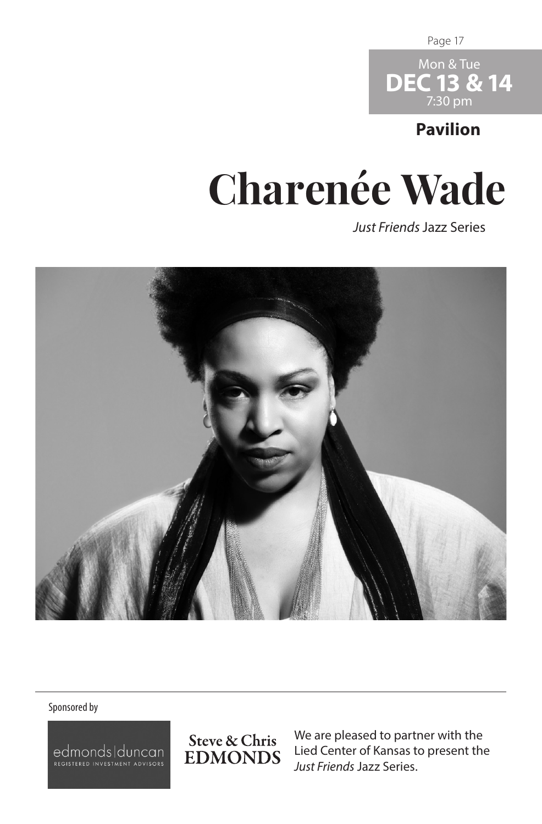Page 17



## **Pavilion**

## **Charenée Wade**

*Just Friends* Jazz Series



## Sponsored by

edmonds|duncan

Steve & Chris **EDMONDS** 

We are pleased to partner with the Lied Center of Kansas to present the *Just Friends* Jazz Series.